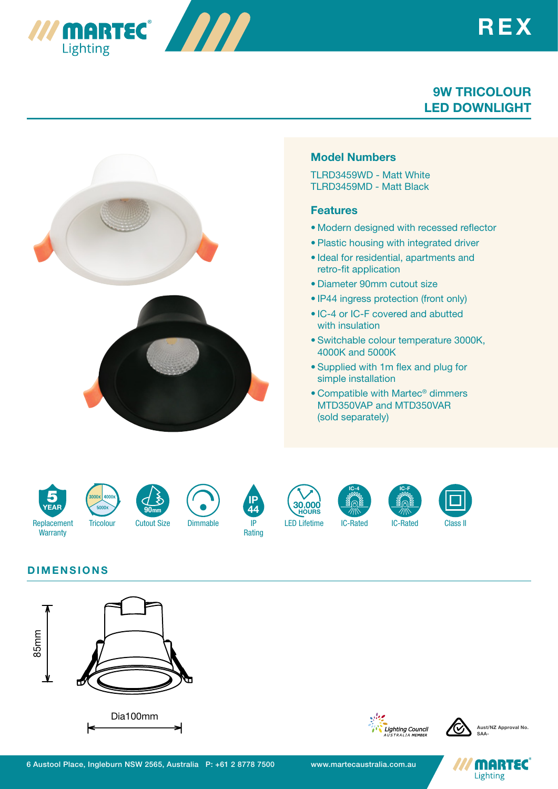





# DIMENSIONS



*III MARTEC 1999* 

**Lighting** 





**MARTEC** Lighting